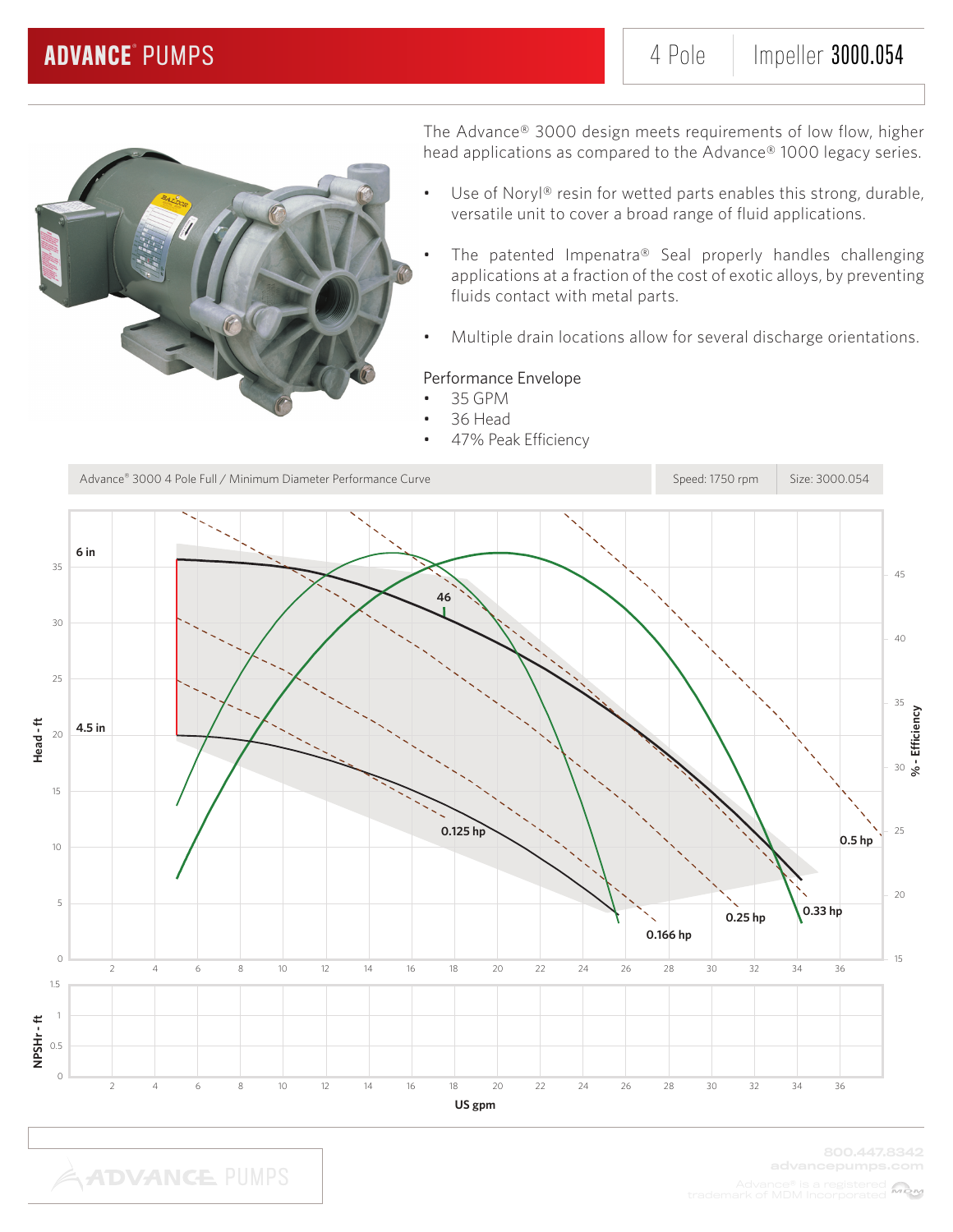

The Advance® 3000 design meets requirements of low flow, higher head applications as compared to the Advance® 1000 legacy series.

- Use of Noryl® resin for wetted parts enables this strong, durable, versatile unit to cover a broad range of fluid applications.
- The patented Impenatra® Seal properly handles challenging applications at a fraction of the cost of exotic alloys, by preventing fluids contact with metal parts.
- Multiple drain locations allow for several discharge orientations.

### Performance Envelope

- 35 GPM
- 36 Head
- 47% Peak Efficiency



**ADVANCE PUMPS**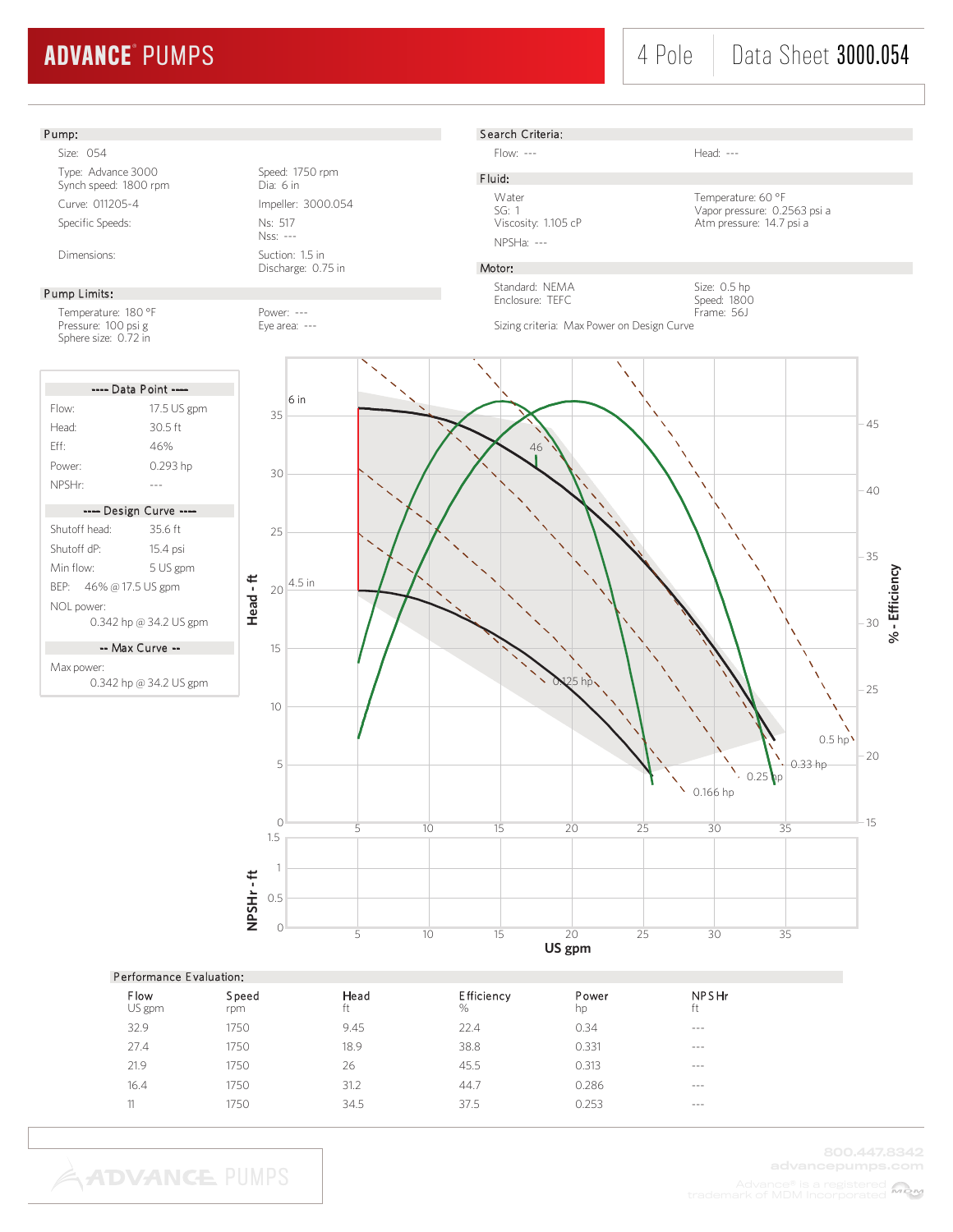# ADVANCE® PUMPS

## 4 Pole Data Sheet 3000.054

#### Pump:

Size: 054 Type: Advance 3000<br>
Synch speed: 1800 rpm<br>
Dia: 6 in Synch speed: 1800 rpm Curve: 011205-4 Impeller: 3000.054 Specific Speeds: Ns: 517

#### Pump Limits:

Temperature: 180 °F Power: ---Pressure: 100 psi g extending the Eye area: ---Sphere size: 0.72 in

|                         | ---- Data Point ----   |  |  |  |  |
|-------------------------|------------------------|--|--|--|--|
| Flow:                   | 17.5 US gpm            |  |  |  |  |
| Head <sup>.</sup>       | 30.5 ft                |  |  |  |  |
| Fff·                    | 46%                    |  |  |  |  |
| Power:                  | 0.293 hp               |  |  |  |  |
| NPSHr:                  |                        |  |  |  |  |
|                         |                        |  |  |  |  |
|                         | ---- Design Curve ---- |  |  |  |  |
| Shutoff head:           | 35.6 ft                |  |  |  |  |
| Shutoff dP <sup>.</sup> | 15.4 psi               |  |  |  |  |
| Min flow <sup>.</sup>   | 5 US gpm               |  |  |  |  |
| BEP: 46% @ 17.5 US gpm  |                        |  |  |  |  |
| NOL power:              |                        |  |  |  |  |
| 0.342 hp @ 34.2 US gpm  |                        |  |  |  |  |
| -- Max Curve --         |                        |  |  |  |  |

Max power:

0.342 hp @ 34.2 US gpm





Flow: --- Head: ---

F luid: NPSHa: ---

Water Temperature: 60 °F<br>SG: 1 Vapor pressure: 0.2 SG: 1 Vapor pressure: 0.2563 psi a Viscosity: 1.105 cP Atm pressure: 14.7 psi a

> Size: 0.5 hp Speed: 1800

### Motor:

Standard: NEMA Enclosure: TEFC

Frame: 56J Sizing criteria: Max Power on Design Curve



| Performance Evaluation: |              |            |                           |             |                    |  |
|-------------------------|--------------|------------|---------------------------|-------------|--------------------|--|
| <b>Flow</b><br>US gpm   | Speed<br>rpm | Head<br>ft | <b>Efficiency</b><br>$\%$ | Power<br>hp | <b>NPSHr</b><br>ft |  |
| 32.9                    | 1750         | 9.45       | 22.4                      | 0.34        | $- - -$            |  |
| 27.4                    | 1750         | 18.9       | 38.8                      | 0.331       | $\cdots$           |  |
| 21.9                    | 1750         | 26         | 45.5                      | 0.313       | $- - -$            |  |
| 16.4                    | 1750         | 31.2       | 44.7                      | 0.286       | $- - -$            |  |
| 11                      | 1750         | 34.5       | 37.5                      | 0.253       | $- - -$            |  |

**ADVANCE PUMPS** 

800.447.8342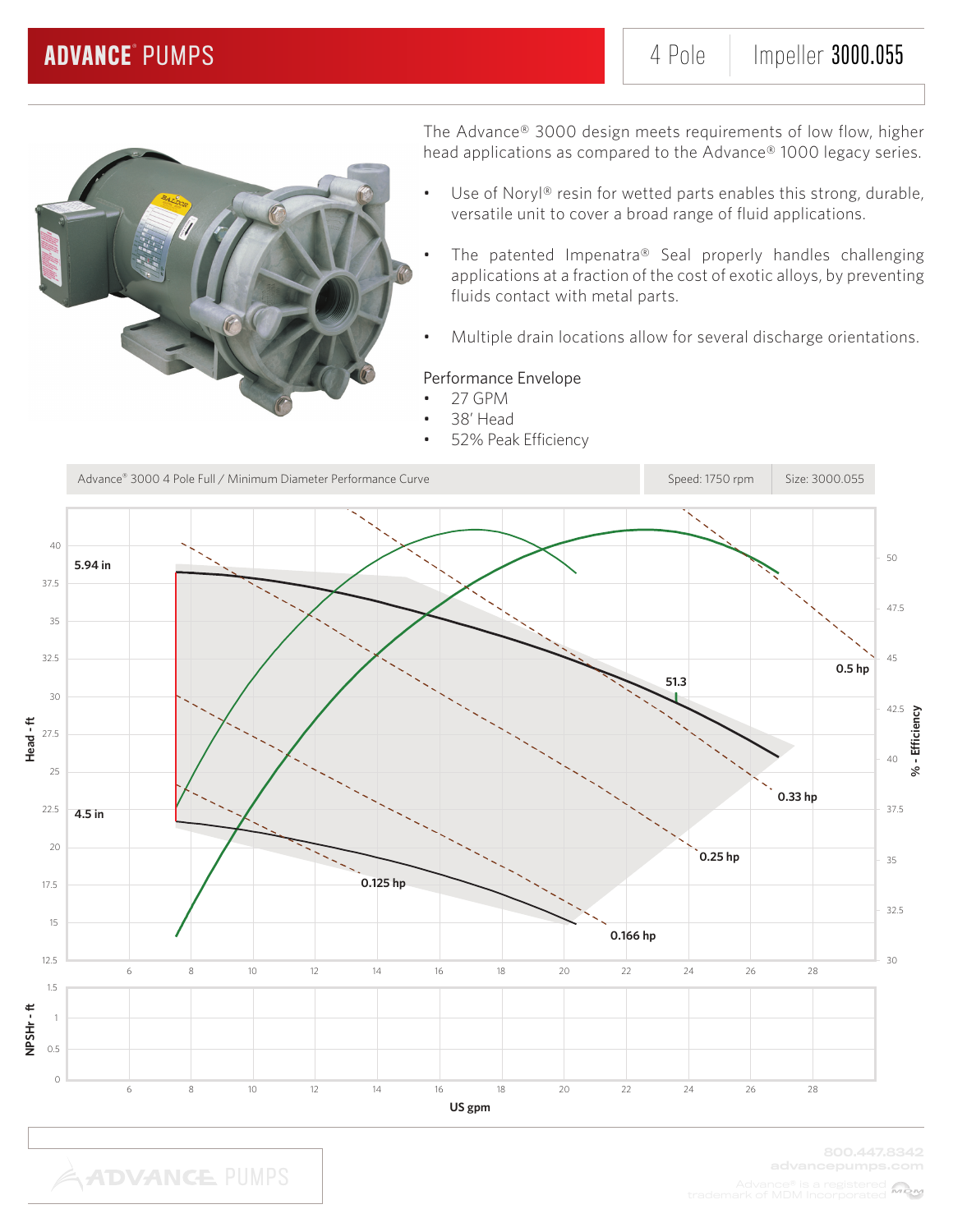

The Advance® 3000 design meets requirements of low flow, higher head applications as compared to the Advance® 1000 legacy series.

- Use of Noryl® resin for wetted parts enables this strong, durable, versatile unit to cover a broad range of fluid applications.
- The patented Impenatra® Seal properly handles challenging applications at a fraction of the cost of exotic alloys, by preventing fluids contact with metal parts.
- Multiple drain locations allow for several discharge orientations.

### Performance Envelope

- 27 GPM
- 38' Head
- 52% Peak Efficiency



**ADVANCE PUMPS**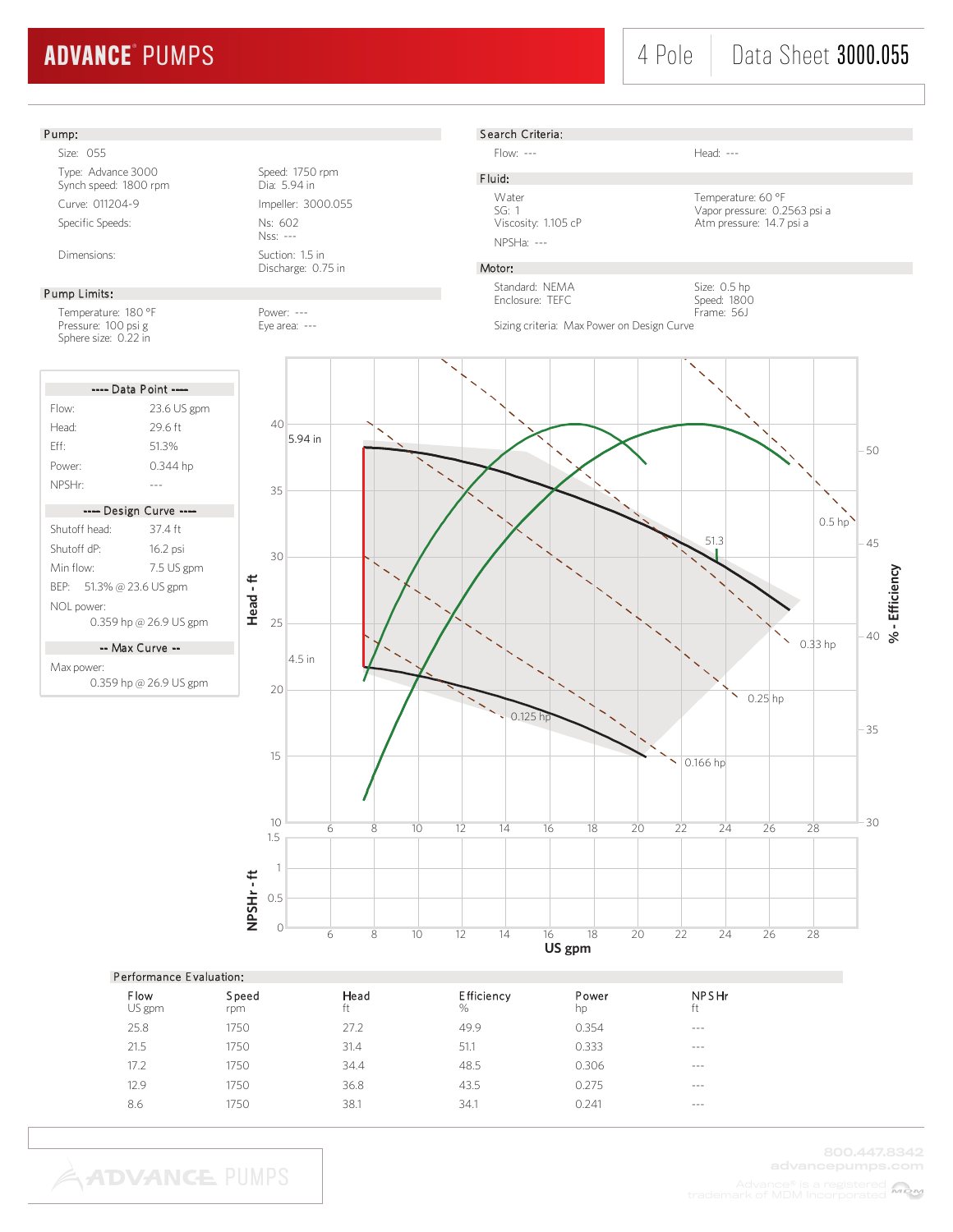# ADVANCE® PUMPS

## 4 Pole | Data Sheet 3000.055

#### Pump:

Size: 055 Type: Advance 3000<br>
Synch speed: 1800 rpm<br>
Dia: 5.94 in Synch speed: 1800 rpm Curve: 011204-9 Impeller: 3000.055 Specific Speeds: Ns: 602

Pump Limits:

Temperature: 180 °F Power: ---<br>Pressure: 100 psi g exercise Eye area: ---Pressure: 100 psi g Sphere size: 0.22 in



-- Max Curve --

Max power: 0.359 hp @ 26.9 US gpm

**ADVANCE PUMPS** 



Search Criteria:

Flow: --- Head: ---

F luid: NPSHa: ---

Water Temperature: 60 °F<br>SG: 1 Vapor pressure: 0.2 SG: 1 Vapor pressure: 0.2563 psi a<br>Viscosity: 1.105 cP 1.105 cP Atm pressure: 14.7 psi a Atm pressure: 14.7 psi a

> Size: 0.5 hp Speed: 1800

### Motor:

Standard: NEMA Enclosure: TEFC

Frame: 56J Sizing criteria: Max Power on Design Curve



| Performance Evaluation: |              |            |                        |             |                    |  |
|-------------------------|--------------|------------|------------------------|-------------|--------------------|--|
| Flow<br>US gpm          | Speed<br>rpm | Head<br>ft | <b>Efficiency</b><br>% | Power<br>hp | <b>NPSHr</b><br>ft |  |
| 25.8                    | 1750         | 27.2       | 49.9                   | 0.354       | $- - -$            |  |
| 21.5                    | 1750         | 31.4       | 51.1                   | 0.333       | $- - -$            |  |
| 17.2                    | 1750         | 34.4       | 48.5                   | 0.306       | $- - -$            |  |
| 12.9                    | 1750         | 36.8       | 43.5                   | 0.275       | $- - -$            |  |
| 8.6                     | 1750         | 38.1       | 34.1                   | 0.241       | $- - -$            |  |
|                         |              |            |                        |             |                    |  |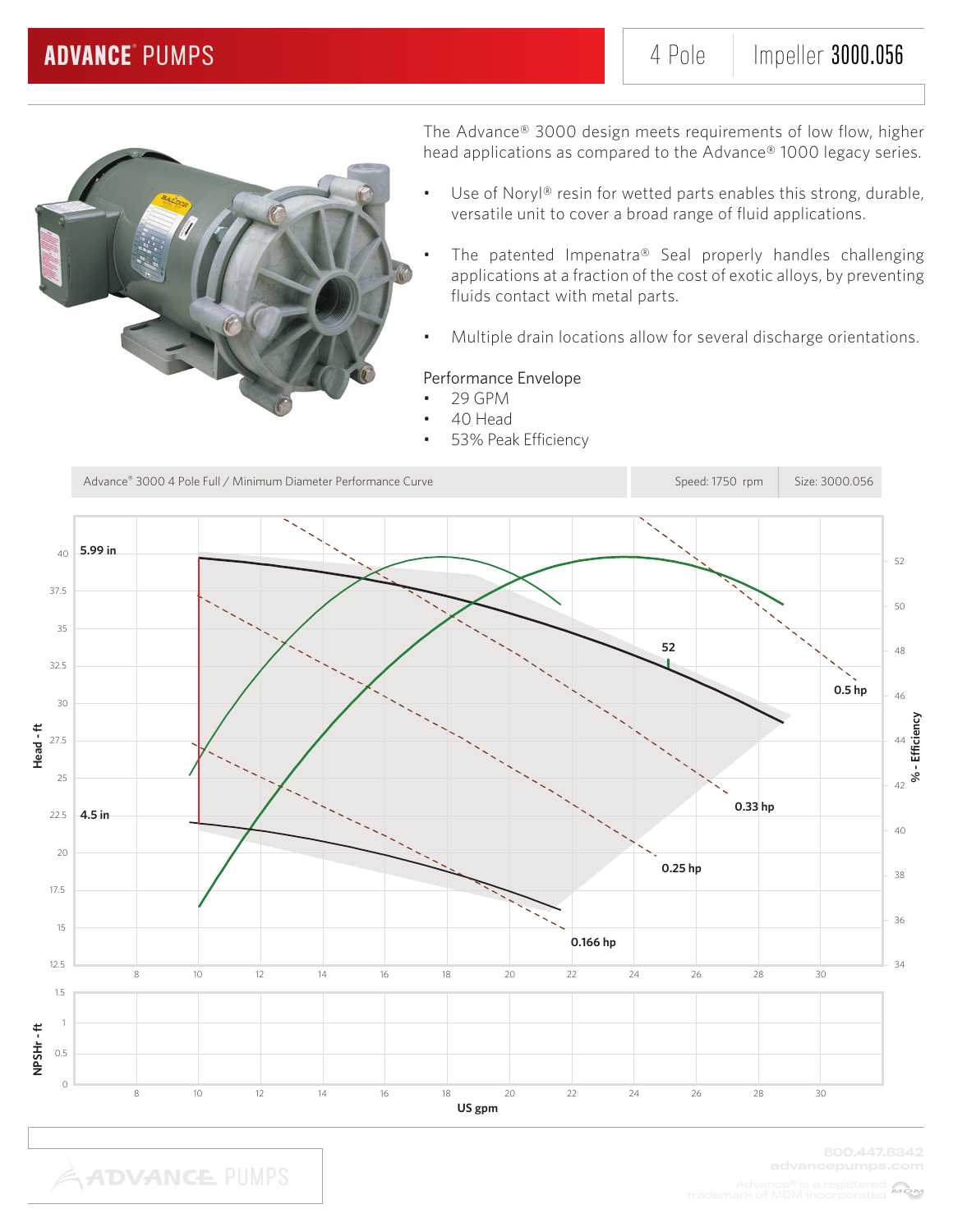

**ADVANCE PUMPS** 

The Advance® 3000 design meets requirements of low flow, higher head applications as compared to the Advance® 1000 legacy series.

- Use of Noryl® resin for wetted parts enables this strong, durable, versatile unit to cover a broad range of fluid applications.
- The patented Impenatra® Seal properly handles challenging applications at a fraction of the cost of exotic alloys, by preventing fluids contact with metal parts.
- Multiple drain locations allow for several discharge orientations.

### Performance Envelope

- 29 GPM
- 40 Head
- 53% Peak Efficiency